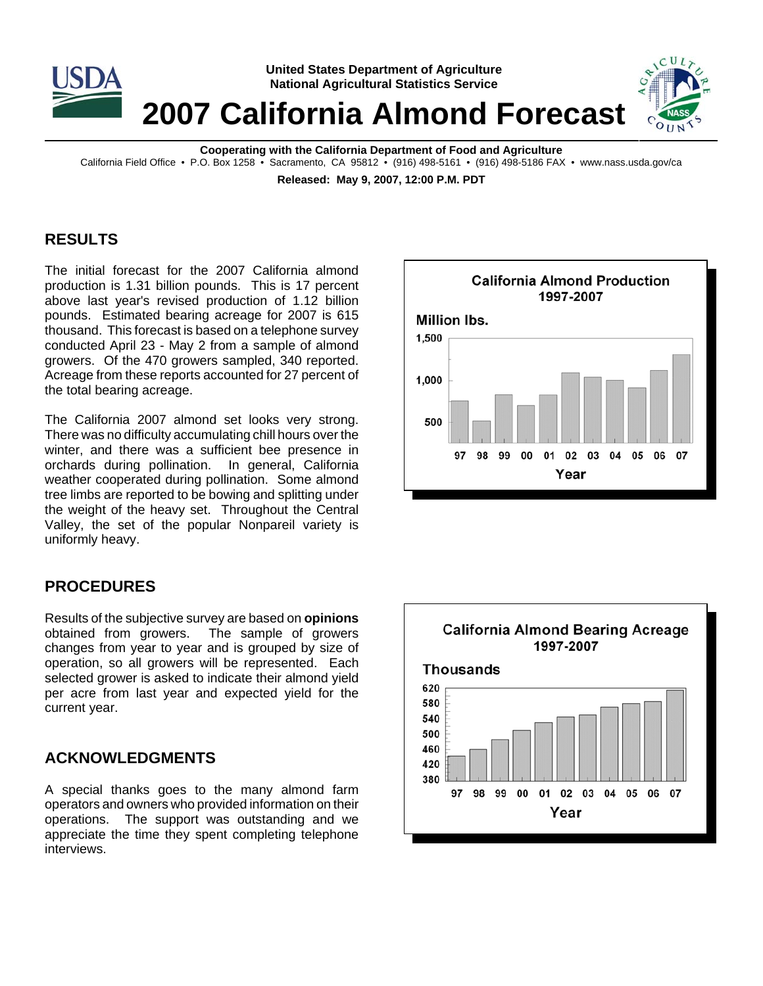

**United States Department of Agriculture National Agricultural Statistics Service**

**2007 California Almond Forecast**

**Cooperating with the California Department of Food and Agriculture**

California Field Office • P.O. Box 1258 • Sacramento, CA 95812 • (916) 498-5161 • (916) 498-5186 FAX • www.nass.usda.gov/ca

**Released: May 9, 2007, 12:00 P.M. PDT**

## **RESULTS**

The initial forecast for the 2007 California almond production is 1.31 billion pounds. This is 17 percent above last year's revised production of 1.12 billion pounds. Estimated bearing acreage for 2007 is 615 thousand. This forecast is based on a telephone survey conducted April 23 - May 2 from a sample of almond growers. Of the 470 growers sampled, 340 reported. Acreage from these reports accounted for 27 percent of the total bearing acreage.

The California 2007 almond set looks very strong. There was no difficulty accumulating chill hours over the winter, and there was a sufficient bee presence in orchards during pollination. In general, California weather cooperated during pollination. Some almond tree limbs are reported to be bowing and splitting under the weight of the heavy set. Throughout the Central Valley, the set of the popular Nonpareil variety is uniformly heavy.

# **PROCEDURES**

Results of the subjective survey are based on **opinions** obtained from growers. The sample of growers changes from year to year and is grouped by size of operation, so all growers will be represented. Each selected grower is asked to indicate their almond yield per acre from last year and expected yield for the current year.

# **ACKNOWLEDGMENTS**

A special thanks goes to the many almond farm operators and owners who provided information on their operations. The support was outstanding and we appreciate the time they spent completing telephone interviews.



CUL